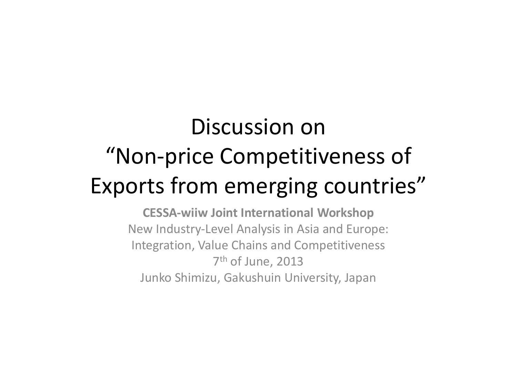# Discussion on "Non-price Competitiveness of Exports from emerging countries"

**CESSA-wiiw Joint International Workshop** New Industry-Level Analysis in Asia and Europe:Integration, Value Chains and Competitiveness7<sup>th</sup> of June, 2013 Junko Shimizu, Gakushuin University, Japan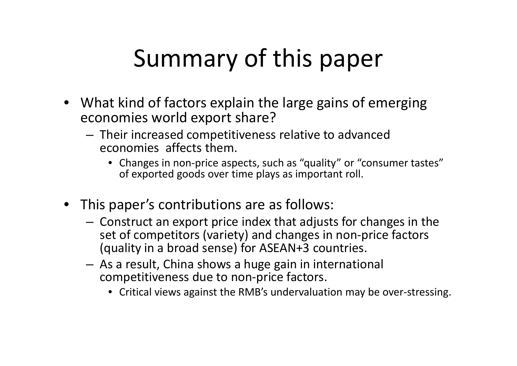# Summary of this paper

- What kind of factors explain the large gains of emerging economies world export share?
	- Their increased competitiveness relative to advanced economies affects them.
		- Changes in non-price aspects, such as "quality" or "consumer tastes" of exported goods over time plays as important roll.
- This paper's contributions are as follows:
	- Construct an export price index that adjusts for changes in the set of competitors (variety) and changes in non-price factors (quality in a broad sense) for ASEAN+3 countries.
	- As a result, China shows a huge gain in international competitiveness due to non-price factors.
		- Critical views against the RMB's undervaluation may be over-stressing.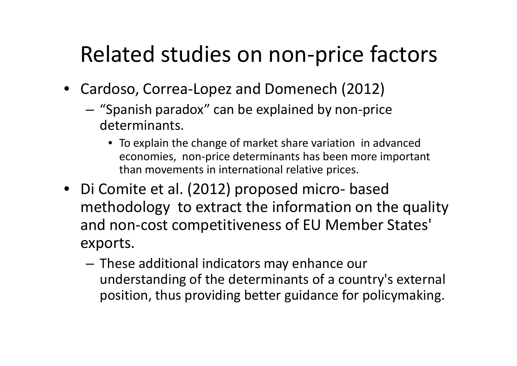#### Related studies on non-price factors

- Cardoso, Correa-Lopez and Domenech (2012)
	- – "Spanish paradox" can be explained by non-price determinants.
		- To explain the change of market share variation in advanced economies, non-price determinants has been more important than movements in international relative prices.
- Di Comite et al. (2012) proposed micro methodology to extract the information on the quality based and non-cost competitiveness of EU Member States' exports.
	- and the state of the - These additional indicators may enhance our understanding of the determinants of a country's external position, thus providing better guidance for policymaking.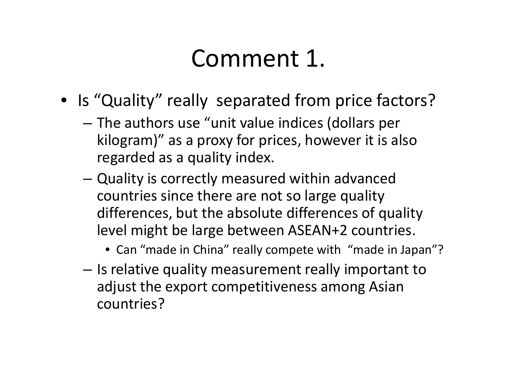### Comment 1.

- Is "Quality" really separated from price factors?
	- –- The authors use "unit value indices (dollars per kilogram)" as a proxy for prices, however it is also regarded as a quality index.
	- –- Quality is correctly measured within advanced countries since there are not so large quality differences, but the absolute differences of quality level might be large between ASEAN+2 countries.
		- Can "made in China" really compete with "made in Japan"?
	- –- Is relative quality measurement really important to adjust the export competitiveness among Asian countries?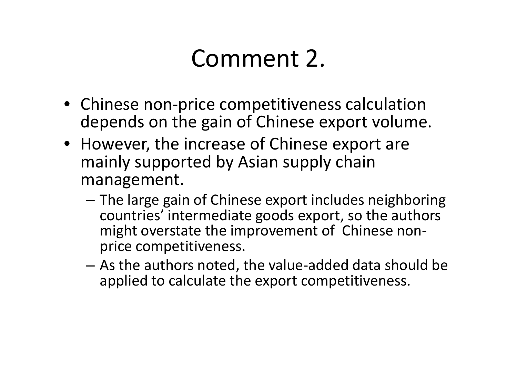### Comment 2.

- Chinese non-price competitiveness calculation depends on the gain of Chinese export volume.
- However, the increase of Chinese export are mainly supported by Asian supply chain management.
	- The large gain of Chinese export includes neighboring<br>countries' intermeadiate goods expert, so the quitbors countries' intermediate goods export, so the authors might overstate the improvement of Chinese nonprice competitiveness.
	- –- As the authors noted, the value-added data should be<br>exampled to coloulate the expert correctitiveness. applied to calculate the export competitiveness.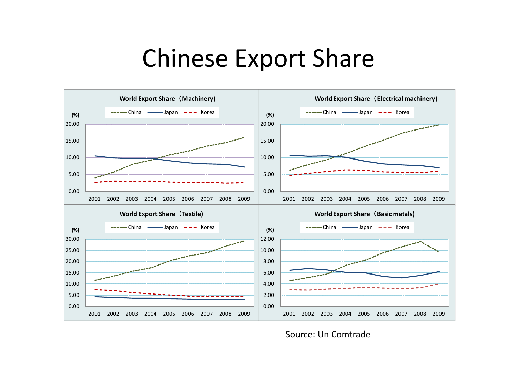#### Chinese Export Share



Source: Un Comtrade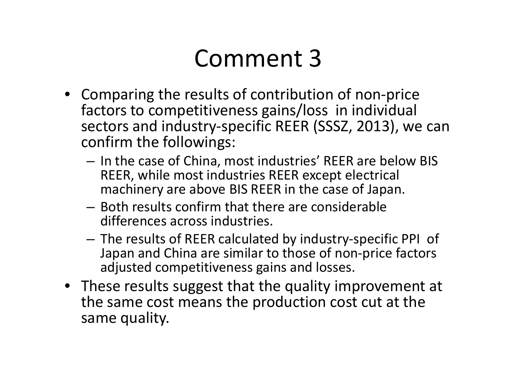### Comment 3

- Comparing the results of contribution of non-price factors to competitiveness gains/loss in individual sectors and industry-specific REER (SSSZ, 2013), we can confirm the followings:
	- In the case of China, most industries' REER are below BIS<br>BEER while meet industries BEER avec at electrical REER, while most industries REER except electrical machinery are above BIS REER in the case of Japan.
	- Both results confirm that there are considerable differences across industries.
	- The results of REER calculated by industry-specific PPI of Japan and China are similar to those of non-price factors adjusted competitiveness gains and losses.
- These results suggest that the quality improvement at the same cost means the production cost cut at the same quality.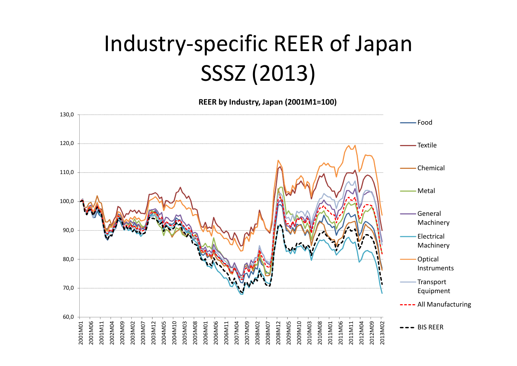### Industry-specific REER of Japan SSSZ (2013)

**REER by Industry, Japan (2001M1=100)**

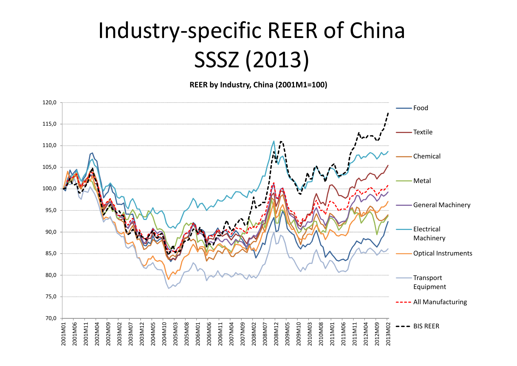### Industry-specific REER of ChinaSSSZ (2013)

**REER by Industry, China (2001M1=100)**

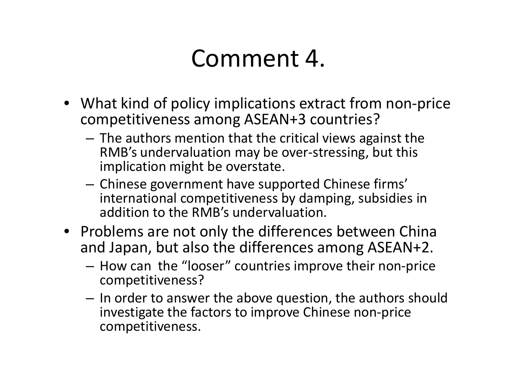#### Comment 4.

- What kind of policy implications extract from non-price competitiveness among ASEAN+3 countries?
	- and the state of the - The authors mention that the critical views against the<br>RAR's undervaluation may be averating single this RMB's undervaluation may be over-stressing, but thisimplication might be overstate.
	- and the state of the Chinese government have supported Chinese firms' international competitiveness by damping, subsidies in addition to the RMB's undervaluation.
- Problems are not only the differences between China and Japan, but also the differences among ASEAN+2.
	- and the state of the - How can the "looser" countries improve their non-price competitiveness?
	- –- In order to answer the above question, the authors should investigate the factors to improve Chinese non-price competitiveness.